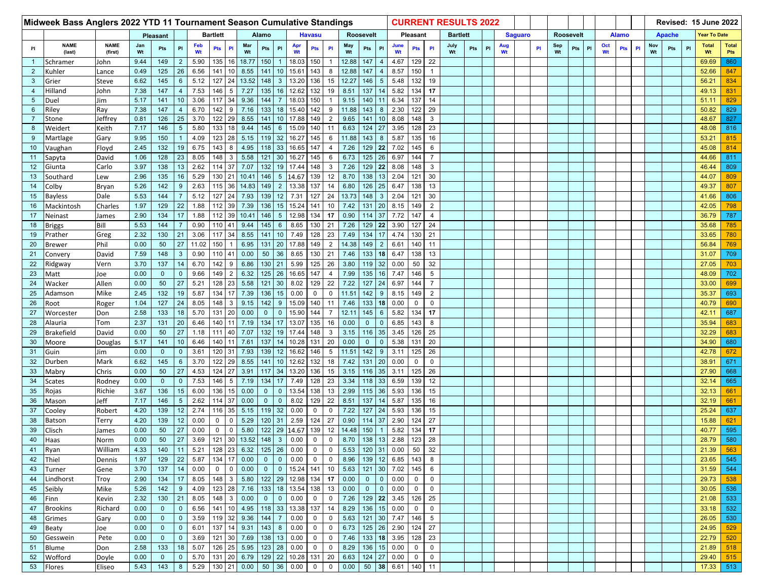| Midweek Bass Anglers 2022 YTD 11 Tournament Season Cumulative Standings |                       |                        |              |                    |                 |                 |                |                 |                           |                |                        |               |                 | <b>CURRENT RESULTS 2022</b> |                  |                  |                 |               |                  |                 |            |     |   |                |  |                  |           |     |    |              | Revised: 15 June 2022 |   |               |     |                     |                    |                     |
|-------------------------------------------------------------------------|-----------------------|------------------------|--------------|--------------------|-----------------|-----------------|----------------|-----------------|---------------------------|----------------|------------------------|---------------|-----------------|-----------------------------|------------------|------------------|-----------------|---------------|------------------|-----------------|------------|-----|---|----------------|--|------------------|-----------|-----|----|--------------|-----------------------|---|---------------|-----|---------------------|--------------------|---------------------|
|                                                                         |                       |                        | Pleasant     |                    |                 | <b>Bartlett</b> | Alamo          |                 |                           |                |                        | <b>Havasu</b> |                 |                             | <b>Roosevelt</b> |                  |                 | Pleasant      |                  | <b>Bartlett</b> |            |     |   | <b>Saguaro</b> |  | <b>Roosevelt</b> |           |     |    | <b>Alamo</b> |                       |   | <b>Apache</b> |     | <b>Fear To Date</b> |                    |                     |
| Pl                                                                      | <b>NAME</b><br>(last) | <b>NAME</b><br>(first) | Jan<br>Wt    | Pts                | PI              | Feb<br>Wt       | <b>Pts</b>     | <b>PI</b>       | Mar<br>Wt                 | Pts            | PI                     | Apr<br>Wt     | <b>Pts</b>      | PI                          | May<br>Wt        | Pts              | PI              | June<br>Wt    | <b>Pts</b>       | PI              | July<br>Wt | Pts | P | Aug<br>Wt      |  | <b>PI</b>        | Sep<br>Wt | Pts | PI | Oct<br>Wt    | Pts                   | P | Nov<br>Wt     | Pts | <b>PI</b>           | <b>Total</b><br>Wt | <b>Total</b><br>Pts |
| $\mathbf{1}$                                                            | Schramer              | John                   | 9.44         | 149                | $\overline{2}$  | 5.90            | 135            | 16              | 18.77                     | 150            |                        | 18.03         | 150             | $\overline{1}$              | 12.88            | 147              | $\overline{4}$  | 4.67          | 129 22           |                 |            |     |   |                |  |                  |           |     |    |              |                       |   |               |     |                     | 69.69              | 860                 |
| $\overline{2}$                                                          | Kuhler                | Lance                  | 0.49         | 125                | 26              | 6.56            | 141            | 10              | 8.55                      | 141            | 10                     | 15.61         | 143             | 8                           | 12.88            | 147              |                 | 8.57          | 150              | $\overline{1}$  |            |     |   |                |  |                  |           |     |    |              |                       |   |               |     |                     | 52.66              | 847                 |
| 3                                                                       | Grier                 | Steve                  | 6.62         | 145                | $\,6\,$         | 5.12            | 127            | 24              | 13.52                     | 148            | $\mathbf{3}$           | 13.20         | 136             | 15                          | 12.27            | 146              | $5\overline{)}$ | 5.48          | 132              | 19              |            |     |   |                |  |                  |           |     |    |              |                       |   |               |     |                     | 56.21              | 834                 |
| $\overline{4}$                                                          | Hilland               | John                   | 7.38         | 147                | $\overline{4}$  | 7.53            | 146            | -5              | 7.27                      | 135            | 16                     | 12.62         | 132             | 19                          | 8.51             | 137              | 14              | 5.82          | 134              | 17              |            |     |   |                |  |                  |           |     |    |              |                       |   |               |     |                     | 49.13              | 831                 |
| $5\phantom{.0}$                                                         | Duel                  | Jim                    | 5.17         | 141                | 10              | 3.06            | 117            | 34              | 9.36                      | 144            |                        | 18.03         | 150             | $\mathbf{1}$                | 9.15             | 140 11           |                 | 6.34          | 137              | 14              |            |     |   |                |  |                  |           |     |    |              |                       |   |               |     |                     | 51.11              | 829                 |
| 6                                                                       | Riley                 | Ray                    | 7.38         | 147                | $\overline{4}$  | 6.70            | 142            | 9               | 7.16                      | 133            | 18                     | 15.40         | 142             | 9                           | 11.88            | 143              | 8               | 2.30          | 122              | 29              |            |     |   |                |  |                  |           |     |    |              |                       |   |               |     |                     | 50.82              | 829                 |
| $\overline{7}$                                                          | Stone                 | Jeffrey                | 0.81         | 126                | 25              | 3.70            | 122            | 29              | 8.55                      | 141            | 10                     | 17.88         | 149             | $\overline{2}$              | 9.65             | 141              | 10              | 8.08          | 148              | 3               |            |     |   |                |  |                  |           |     |    |              |                       |   |               |     |                     | 48.67              | 827                 |
| 8                                                                       | Weidert               | Keith                  | 7.17         | 146                | 5               | 5.80            | 133            | 18              | 9.44                      | 145            | 6                      | 15.09         | 140             | 11                          | 6.63             | 124              | 27              | 3.95          | 128              | 23              |            |     |   |                |  |                  |           |     |    |              |                       |   |               |     |                     | 48.08              | 816                 |
| 9                                                                       | Martlage              | Gary                   | 9.95         | 150                | $\mathbf{1}$    | 4.09            | 123            | 28              | 5.15                      | 119            | 32                     | 16.27         | 145             | 6                           | 11.88            | 143              | 8               | 5.87          | 135              | 16              |            |     |   |                |  |                  |           |     |    |              |                       |   |               |     |                     | 53.21              | 815                 |
| 10 <sup>1</sup>                                                         | Vaughan               | Floyd                  | 2.45         | 132                | 19              | 6.75            | 143            | 8               | 4.95                      | 118            | 33                     | 16.65         | 147             | $\overline{4}$              | 7.26             | 129              | 22              | 7.02          | 145              | 6               |            |     |   |                |  |                  |           |     |    |              |                       |   |               |     |                     | 45.08              | 814                 |
| 11                                                                      | Sapyta                | David                  | 1.06         | 128                | 23              | 8.05            | 148            | -3              | 5.58                      | 121            | 30                     | 16.27         | 145             | 6                           | 6.73             | 125 26           |                 | 6.97          | 144              |                 |            |     |   |                |  |                  |           |     |    |              |                       |   |               |     |                     | 44.66              | 811                 |
| 12                                                                      | Giunta                | Carlo                  | 3.97         | 138                | 13              | 2.62            | 114            | 37              | 7.07                      | 132            | 19                     | 17.44         | 148             | 3                           | 7.26             | 129 22           |                 | 8.08          | 148              | 3               |            |     |   |                |  |                  |           |     |    |              |                       |   |               |     |                     | 46.44              | 809                 |
| 13                                                                      | Southard              | Lew                    | 2.96         | 135                | 16              | 5.29            | 130            | 21              | 10.41                     | 146            | $5\phantom{.0}$        | 14.67         | 139             | 12                          | 8.70             | 138              | 13              | 2.04          | 121              | $\vert$ 30      |            |     |   |                |  |                  |           |     |    |              |                       |   |               |     |                     | 44.07              | 809                 |
| 14                                                                      | Colby                 | Bryan                  | 5.26         | 142                | 9               | 2.63            | 115            | 36              | 14.83                     | 149            | $\overline{2}$         | 13.38         | 137             | 14                          | 6.80             | 126              | 25              | 6.47          | 138 13           |                 |            |     |   |                |  |                  |           |     |    |              |                       |   |               |     |                     | 49.37              | 807                 |
| 15                                                                      | <b>Bayless</b>        | Dale                   | 5.53         | 144                | $\overline{7}$  | 5.12            | 127            | 24              | 7.93                      | 139            | 12                     | 7.31          | 127             | 24                          | 13.73            | 148              | $\mathbf{3}$    | 2.04          | 121              | 30              |            |     |   |                |  |                  |           |     |    |              |                       |   |               |     |                     | 41.66              | 806                 |
| 16                                                                      | Mackintosh            | Charles                | 1.97         | 129                | 22              | 1.88            | 112            | 39              | 7.39                      | 136            | 15                     | 15.24         | 141             | 10                          | 7.42             | 131              | 20              | 8.15          | 149              | $\overline{2}$  |            |     |   |                |  |                  |           |     |    |              |                       |   |               |     |                     | 42.05              | 798                 |
| 17                                                                      | Neinast               | James                  | 2.90         | 134                | 17              | 1.88            |                | 112 39          | 10.41                     | 146            | 5 <sup>5</sup>         | 12.98         | 134             | 17                          | 0.90             | 114 37           |                 | 7.72          | 147              | $\overline{4}$  |            |     |   |                |  |                  |           |     |    |              |                       |   |               |     |                     | 36.79              | 787                 |
| 18                                                                      | <b>Briggs</b>         | Bill                   | 5.53         | 144                |                 | 0.90            | 110            | 41              | 9.44                      | 145            | $6\phantom{1}$         | 8.65          | 130             | 21                          | 7.26             | 129              | 22              | 3.90          | 127              | 24              |            |     |   |                |  |                  |           |     |    |              |                       |   |               |     |                     | 35.68              | 785                 |
| 19                                                                      | Prather               | Greg                   | 2.32         | 130                | 21              | 3.06            | 117            | 34              | 8.55                      | 141            | 10 <sup>°</sup>        | 7.49          | 128             | 23                          | 7.49             | 134              | 17              | 4.74          | 130 <sub>1</sub> | 21              |            |     |   |                |  |                  |           |     |    |              |                       |   |               |     |                     | 33.65              | 780                 |
| 20                                                                      | <b>Brewer</b>         | Phil                   | 0.00         | 50                 | 27              | 11.02           | 150            |                 | 6.95                      | 131            | 20                     | 17.88         | 149             | $\overline{2}$              | 14.38            | 149              | $\overline{2}$  | 6.61          | 140 11           |                 |            |     |   |                |  |                  |           |     |    |              |                       |   |               |     |                     | 56.84              | 769                 |
| 21                                                                      | Converv               | David                  | 7.59         | 148                | 3               | 0.90            | 110            | 41              | 0.00                      | 50             | 36                     | 8.65          | 130             | 21                          | 7.46             | 133              | 18              | 6.47          | 138              | 13              |            |     |   |                |  |                  |           |     |    |              |                       |   |               |     |                     | 31.07              | 709                 |
| 22                                                                      | Ridgway               | Vern                   | 3.70         | 137                | 14              | 6.70            | 142            | 9               | 6.86                      | 130            | 21                     | 5.99          | 125             | 26                          | 3.80             | 119              | 32              | 0.00          | 50               | 32              |            |     |   |                |  |                  |           |     |    |              |                       |   |               |     |                     | 27.05              | 703                 |
| 23                                                                      | Matt                  | Joe                    | 0.00         | $\mathbf{0}$<br>50 | $\mathbf{0}$    | 9.66            | 149            | $\overline{2}$  | 6.32                      | 125<br>$121$   | 26                     | 16.65         | 147             | 4                           | 7.99             | 135              | 16              | 7.47          | 146              | $5\phantom{.0}$ |            |     |   |                |  |                  |           |     |    |              |                       |   |               |     |                     | 48.09              | 702                 |
| 24<br>25                                                                | Wacker                | Allen<br>Mike          | 0.00<br>2.45 | 132                | 27<br>19        | 5.21<br>5.87    | 128<br>134     | 23              | 5.58<br>7.39              | 136            | 30<br>15 <sub>15</sub> | 8.02<br>0.00  | 129<br>$\Omega$ | 22<br>$\mathbf 0$           | 7.22<br>11.51    | 127<br>142       | 24<br>9         | 6.97<br>8.15  | 144<br>149       | 2               |            |     |   |                |  |                  |           |     |    |              |                       |   |               |     |                     | 33.00<br>35.37     | 699<br>693          |
| 26                                                                      | Adamson               |                        | 1.04         | 127                | 24              | 8.05            | 148            | -3              | 9.15                      | 142            | 9                      | 15.09         | 140             | 11                          | 7.46             | 133              | 18              | 0.00          | 0                | $\mathbf 0$     |            |     |   |                |  |                  |           |     |    |              |                       |   |               |     |                     |                    | 690                 |
| 27                                                                      | Root                  | Roger<br>Don           | 2.58         | 133                | 18              | 5.70            | 131            | 20              | 0.00                      | $\mathbf{0}$   | $\mathbf{0}$           | 15.90         | 144             |                             | 12.11            | 145              | $6\overline{6}$ | 5.82          | 134 17           |                 |            |     |   |                |  |                  |           |     |    |              |                       |   |               |     |                     | 40.79<br>42.11     | 687                 |
| 28                                                                      | Worcester<br>Alauria  | Tom                    | 2.37         | 131                | 20              | 6.46            | 140            |                 | 7.19                      | 134            | 17                     | 13.07         | 135             | 16                          | 0.00             | $\mathbf{0}$     | $\mathbf{0}$    | 6.85          | 143              | 8               |            |     |   |                |  |                  |           |     |    |              |                       |   |               |     |                     | 35.94              | 683                 |
| 29                                                                      | <b>Brakefield</b>     | David                  | 0.00         | 50                 | 27              | 1.18            | 111            | 40              | 7.07                      | 132            | 19                     | 17.44         | 148             | 3                           | 3.15             | 116              | 35              | 3.45          | 126              | 25              |            |     |   |                |  |                  |           |     |    |              |                       |   |               |     |                     | 32.29              | 683                 |
| 30                                                                      | Moore                 | Douglas                | 5.17         | 141                | 10              | 6.46            | 140            | 11              | 7.61                      | 137            | 14                     | 10.28         | 131             | 20                          | 0.00             | $\mathbf{0}$     | $\mathbf{0}$    | 5.38          | 131 20           |                 |            |     |   |                |  |                  |           |     |    |              |                       |   |               |     |                     | 34.90              | 680                 |
| 31                                                                      | Guin                  | Jim                    | 0.00         | $\mathbf{0}$       | $\mathbf{0}$    | 3.61            | 120            | 31              | 7.93                      | 139            | 12                     | 16.62         | 146             | $5\phantom{.0}$             | 11.51            | 142              | 9               | 3.11          | 125              | 26              |            |     |   |                |  |                  |           |     |    |              |                       |   |               |     |                     | 42.78              | 672                 |
| 32                                                                      | Durben                | Mark                   | 6.62         | 145                | $6\phantom{.0}$ | 3.70            | 122            | 29              | 8.55                      | 141            | 10                     | 12.62         | 132             | 18                          | 7.42             | 131              | 20              | 0.00          | $\mathbf{0}$     | $\mathbf 0$     |            |     |   |                |  |                  |           |     |    |              |                       |   |               |     |                     | 38.91              | 671                 |
| 33                                                                      | Mabry                 | Chris                  | 0.00         | 50                 | 27              | 4.53            | 124            | 27              | 3.91                      | 117            | 34                     | 13.20         | 136             | 15                          | 3.15             | 116              | 35              | 3.11          | 125              | 26              |            |     |   |                |  |                  |           |     |    |              |                       |   |               |     |                     | 27.90              | 668                 |
| 34                                                                      | Scates                | Rodney                 | 0.00         | $\mathbf{0}$       | $\mathbf{0}$    | 7.53            | 146            | 5               | 7.19                      | 134            | 17                     | 7.49          | 128             | 23                          | 3.34             | 118              | 33              | 6.59          | 139              | 12              |            |     |   |                |  |                  |           |     |    |              |                       |   |               |     |                     | 32.14              | 665                 |
| 35                                                                      | Rojas                 | Richie                 | 3.67         | 136                | 15              | 6.00            | 136            | 15              | 0.00                      | $\mathbf 0$    | $\mathbf{0}$           | 13.54         | 138             | 13                          | 2.99             | 115              | 36              | 5.93          | 136              | 15              |            |     |   |                |  |                  |           |     |    |              |                       |   |               |     |                     | 32.13              | 661                 |
| 36                                                                      | Mason                 | Jeff                   | 7.17         | 146                | $5\phantom{.0}$ | 2.62            | 114            | 37              | 0.00                      | $\mathbf 0$    | $\mathbf 0$            | 8.02          | 129             | 22                          | 8.51             | 137              | 14              | 5.87          | 135              | 16              |            |     |   |                |  |                  |           |     |    |              |                       |   |               |     |                     | 32.19              | 661                 |
| 37                                                                      | Cooley                | Robert                 | 4.20         | 139                | 12              | 2.74            | 116            | 35              | 5.15                      | 119            | 32                     | 0.00          | $\mathbf 0$     | $\mathbf 0$                 | 7.22             | 127              | 24              | 5.93          | 136              | 15              |            |     |   |                |  |                  |           |     |    |              |                       |   |               |     |                     | 25.24              | 637                 |
| 38                                                                      | Batson                | Terry                  | 4.20         | 139                | 12              | 0.00            | $\mathbf 0$    | $\Omega$        | 5.29                      | 120            | 31                     | 2.59          | 124             | 27                          | 0.90             | 114 37           |                 | 2.90          | 124              | 27              |            |     |   |                |  |                  |           |     |    |              |                       |   |               |     |                     | 15.88              | 621                 |
| 39                                                                      | Clisch                | James                  | 0.00         | 50                 | 27              | 0.00            | $\mathbf 0$    | $\overline{0}$  | 5.80                      | 122            | 29                     | 14.67         | 139             | 12                          | 14.48            | 150              |                 | 5.82          | 134              | 17              |            |     |   |                |  |                  |           |     |    |              |                       |   |               |     |                     | 40.77              | 595                 |
| 40                                                                      | Haas                  | Norm                   | 0.00         | 50                 | 27              | 3.69            | 121            | 30 <sup>°</sup> | 13.52                     | 148            | $\mathbf{3}$           | 0.00          | $\mathbf 0$     | $\mathbf 0$                 | 8.70             | 138 13           |                 | 2.88          | 123              | 28              |            |     |   |                |  |                  |           |     |    |              |                       |   |               |     |                     | 28.79              | 580                 |
| 41                                                                      | Ryan                  | William                | 4.33         | 140                | 11              | 5.21            |                |                 | $128$ 23 6.32 125 26 0.00 |                |                        |               | $\mathbf 0$     | 0                           | 5.53             |                  |                 | $120$ 31 0.00 | 50 32            |                 |            |     |   |                |  |                  |           |     |    |              |                       |   |               |     |                     | 21.39              | 563                 |
| 42                                                                      | Thiel                 | Dennis                 | 1.97         | 129                | 22              | 5.87            | 134            | 17              | 0.00                      | $\mathbf{0}$   | $\overline{0}$         | 0.00          | $\mathbf 0$     | $\mathbf 0$                 | 8.96             |                  | $139$ 12        | 6.85          | 143 8            |                 |            |     |   |                |  |                  |           |     |    |              |                       |   |               |     |                     | 23.65              | 545                 |
| 43                                                                      | <b>Turner</b>         | Gene                   | 3.70         | 137                | 14              | 0.00            | $\overline{0}$ | $\overline{0}$  | 0.00                      | $\overline{0}$ |                        | $0$ 15.24 141 |                 | 10                          | 5.63             | 121 30           |                 | 7.02          | 145 6            |                 |            |     |   |                |  |                  |           |     |    |              |                       |   |               |     |                     | 31.59              | 544                 |
| 44                                                                      | Lindhorst             | Troy                   | 2.90         | 134                | 17              | 8.05            | 148            | $\mathbf{3}$    | 5.80                      | $122$          |                        | 29 12.98      | 134             | 17                          | 0.00             |                  | $0 \mid 0$      | 0.00          | $0 \quad 0$      |                 |            |     |   |                |  |                  |           |     |    |              |                       |   |               |     |                     | 29.73              | 538                 |
| 45                                                                      | Seibly                | Mike                   | 5.26         | 142                | 9               | 4.09            |                | 123 28          | 7.16                      | 133            |                        | 18 13.54 138  |                 | 13                          | 0.00             |                  | $0 \mid 0$      | 0.00          | 0 <sup>1</sup>   | $\mathbf{0}$    |            |     |   |                |  |                  |           |     |    |              |                       |   |               |     |                     | 30.05              | 536                 |
| 46                                                                      | Finn                  | Kevin                  | 2.32         | 130                | 21              | 8.05            | 148            | $\mathbf{3}$    | $0.00\,$                  | $\overline{0}$ | $\overline{0}$         | $0.00\,$      | $\mathbf 0$     | $\mathbf 0$                 | 7.26             | 129 22           |                 | 3.45          | 126 25           |                 |            |     |   |                |  |                  |           |     |    |              |                       |   |               |     |                     | 21.08              | 533                 |
| 47                                                                      | Brookins              | Richard                | 0.00         | $\mathbf 0$        | $\mathbf 0$     | 6.56            | 141            | 10 <sup>1</sup> | 4.95                      |                |                        | 118 33 13.38  | 137             | 14                          | 8.29             | 136 15           |                 | 0.00          | 0                | $\overline{0}$  |            |     |   |                |  |                  |           |     |    |              |                       |   |               |     |                     | 33.18              | 532                 |
| 48                                                                      | Grimes                | Gary                   | 0.00         | $\mathbf 0$        | $\mathbf 0$     | 3.59            |                |                 | 119 32 9.36               | 144            | $7\overline{ }$        | 0.00          | 0               | $\mathsf 0$                 | 5.63             | 121 30           |                 | 7.47          | $146 \quad 5$    |                 |            |     |   |                |  |                  |           |     |    |              |                       |   |               |     |                     | 26.05              | 530                 |
| 49                                                                      | Beaty                 | Joe                    | 0.00         | $\mathbf{0}$       | $\mathbf 0$     | 6.01            | 137            | 14              | 9.31                      | 143            | 8                      | 0.00          | $\mathbf 0$     | $\mathsf 0$                 | 6.73             | $\boxed{125}$ 26 |                 | 2.90          | 124 27           |                 |            |     |   |                |  |                  |           |     |    |              |                       |   |               |     |                     | 24.95              | 529                 |
| 50                                                                      | Gesswein              | Pete                   | 0.00         | $\mathbf 0$        | $\mathbf 0$     | 3.69            |                |                 | 121 30 7.69               |                |                        | 138 13 0.00   | 0               | $\mathbf 0$                 | 7.46             |                  |                 | 133 18 3.95   | 128 23           |                 |            |     |   |                |  |                  |           |     |    |              |                       |   |               |     |                     |                    | 22.79 520           |
| 51                                                                      | Blume                 | Don                    | 2.58         | 133                | 18              | 5.07            |                |                 | 126 25 5.95               | 123            |                        | 28 0.00       | 0               | $\mathbf 0$                 | 8.29             | 136 15           |                 | 0.00          | $\overline{0}$   | $\mathbf 0$     |            |     |   |                |  |                  |           |     |    |              |                       |   |               |     |                     |                    | $21.89$ 518         |
| 52                                                                      | Wofford               | Doyle                  | 0.00         | $\mathbf 0$        | $\mathbf{0}$    | 5.70            |                | 131 20          | 6.79                      |                |                        | 129 22 10.28  | 131             | 20                          | 6.63             | 124 27           |                 | 0.00          | $\overline{0}$   | $\overline{0}$  |            |     |   |                |  |                  |           |     |    |              |                       |   |               |     |                     |                    | $29.40$ 515         |
| 53                                                                      | Flores                | Eliseo                 | 5.43         | 143                | 8               | 5.29            | 130 21         |                 | 0.00                      | 50             | 36                     | 0.00          | $\mathbf 0$     | $\mathbf 0$                 | 0.00             | 50 38            |                 | 6.61          | 140 11           |                 |            |     |   |                |  |                  |           |     |    |              |                       |   |               |     |                     |                    | $17.33$ 513         |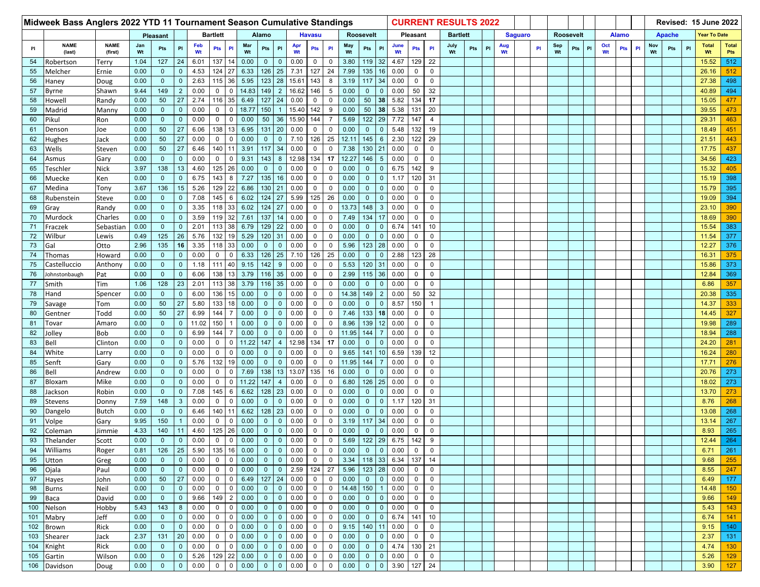| Midweek Bass Anglers 2022 YTD 11 Tournament Season Cumulative Standings |                       |                        |              |                             |                             |                 |                    |                            |                  |                             |                              |                                   |                  | <b>CURRENT RESULTS 2022</b> |               |                     |                                |              |                                |                              |            |     |   |                |  |                  |           |     |    |              | Revised: 15 June 2022 |    |               |     |              |                    |                     |
|-------------------------------------------------------------------------|-----------------------|------------------------|--------------|-----------------------------|-----------------------------|-----------------|--------------------|----------------------------|------------------|-----------------------------|------------------------------|-----------------------------------|------------------|-----------------------------|---------------|---------------------|--------------------------------|--------------|--------------------------------|------------------------------|------------|-----|---|----------------|--|------------------|-----------|-----|----|--------------|-----------------------|----|---------------|-----|--------------|--------------------|---------------------|
|                                                                         |                       | Pleasant               |              |                             |                             | <b>Bartlett</b> |                    |                            | Alamo            |                             |                              | <b>Havasu</b><br><b>Roosevelt</b> |                  |                             |               |                     |                                | Pleasant     |                                | <b>Bartlett</b>              |            |     |   | <b>Saguaro</b> |  | <b>Roosevelt</b> |           |     |    | <b>Alamo</b> |                       |    | <b>Apache</b> |     | Year To Date |                    |                     |
| Pl                                                                      | <b>NAME</b><br>(last) | <b>NAME</b><br>(first) | Jan<br>Wt    | Pts                         | PI                          | Feb<br>Wt       | <b>Pts</b>         | <b>PI</b>                  | Mar<br>Wt        | Pts                         | PI                           | Apr<br>Wt                         | <b>Pts</b>       | PI                          | May<br>Wt     | Pts                 | PI                             | June<br>Wt   | Pts                            | PI                           | July<br>Wt | Pts | P | Aug<br>Wt      |  | PI               | Sep<br>Wt | Pts | PI | Oct<br>Wt    | Pts                   | PI | Nov<br>Wt     | Pts | PI           | <b>Total</b><br>Wt | <b>Total</b><br>Pts |
| 54                                                                      | Robertson             | Terry                  | 1.04         | 127                         | 24                          | 6.01            | 137                |                            | 0.00             | $\mathbf 0$                 | $\mathbf{0}$                 | 0.00                              | $\mathbf 0$      | $\mathbf 0$                 | 3.80          | 119                 | 32                             | 4.67         | 129 22                         |                              |            |     |   |                |  |                  |           |     |    |              |                       |    |               |     |              | 15.52              | 512                 |
| 55                                                                      | Melcher               | Ernie                  | 0.00         | $\mathbf{0}$                | $\mathbf{0}$                | 4.53            | 124                | 27                         | 6.33             | 126                         | 25                           | 7.31                              | 127              | 24                          | 7.99          | 135                 | 16                             | 0.00         | $\mathsf{O}$                   | $\mathbf 0$                  |            |     |   |                |  |                  |           |     |    |              |                       |    |               |     |              | 26.16              | 512                 |
| 56                                                                      | Haney                 | Doug                   | 0.00         | $\mathbf 0$                 | $\mathbf 0$                 | 2.63            | 115                | 36                         | 5.95             | 123                         | 28                           | 15.61                             | 143              | 8                           | 3.19          | 117                 | 34                             | 0.00         | $\mathsf{O}$                   | $\mathbf 0$                  |            |     |   |                |  |                  |           |     |    |              |                       |    |               |     |              | 27.38              | 498                 |
| 57                                                                      | Byrne                 | Shawn                  | 9.44         | 149                         | $\overline{2}$              | 0.00            | $\mathbf 0$        | $\Omega$                   | 14.83            | 149                         | $\overline{2}$               | 16.62                             | 146              | $\mathbf 5$                 | 0.00          | $\mathbf{0}$        | $\mathbf{0}$                   | 0.00         | 50                             | 32                           |            |     |   |                |  |                  |           |     |    |              |                       |    |               |     |              | 40.89              | 494                 |
| 58                                                                      | Howell                | Randy                  | 0.00         | 50                          | 27                          | 2.74            | 116                | 35                         | 6.49             | 127                         | 24                           | 0.00                              | $\mathbf 0$      | $\mathbf 0$                 | 0.00          | 50                  | 38                             | 5.82         | 134                            | 17                           |            |     |   |                |  |                  |           |     |    |              |                       |    |               |     |              | 15.05              | 477                 |
| 59                                                                      | Madrid                | Manny                  | 0.00         | $\mathbf{0}$                | $\mathbf{0}$                | 0.00            | $\mathbf 0$        | $\Omega$                   | 18.77            | 150                         |                              | 15.40                             | 142              | 9                           | 0.00          | 50                  | 38                             | 5.38         | 131                            | 20                           |            |     |   |                |  |                  |           |     |    |              |                       |    |               |     |              | 39.55              | 473                 |
| 60                                                                      | Pikul                 | Ron                    | 0.00         | $\mathbf{0}$                | $\mathbf{0}$                | 0.00            | $\mathbf 0$        | $\Omega$                   | 0.00             | 50                          | 36                           | 15.90                             | 144              |                             | 5.69          | 122                 | 29                             | 7.72         | 147                            | 4                            |            |     |   |                |  |                  |           |     |    |              |                       |    |               |     |              | 29.31              | 463                 |
| 61                                                                      | Denson                | Joe                    | 0.00         | 50                          | 27                          | 6.06            | 138                | 13                         | 6.95             | 131                         | 20                           | 0.00                              | $\mathbf 0$      | $\mathbf 0$                 | 0.00          | $\mathbf{0}$        | $\mathbf{0}$                   | 5.48         | 132                            | 19                           |            |     |   |                |  |                  |           |     |    |              |                       |    |               |     |              | 18.49              | 451                 |
| 62                                                                      | Hughes                | Jack                   | 0.00         | 50                          | 27                          | 0.00            | $\mathbf 0$        |                            | 0.00             | $\mathbf 0$                 | $\mathbf{0}$                 | 7.10                              | 126              | 25                          | 12.11         | 145                 | $6\phantom{.}6$                | 2.30         | 122                            | 29                           |            |     |   |                |  |                  |           |     |    |              |                       |    |               |     |              | 21.51              | 443                 |
| 63                                                                      | Wells                 | Steven                 | 0.00         | 50                          | 27                          | 6.46            | 140                |                            | 3.91             | 117                         | 34                           | 0.00                              | $\mathbf 0$      | $\mathbf 0$                 | 7.38          | 130                 | 21                             | 0.00         | 0                              | $\mathbf 0$                  |            |     |   |                |  |                  |           |     |    |              |                       |    |               |     |              | 17.75              | 437                 |
| 64                                                                      | Asmus                 | Gary                   | 0.00         | $\mathbf{0}$                | $\mathbf 0$                 | 0.00            | $\mathbf 0$        | $\Omega$                   | 9.31             | 143                         | 8                            | 12.98                             | 134              | 17                          | 12.27         | 146                 | $5\overline{)}$                | 0.00         | 0                              | $\mathbf 0$                  |            |     |   |                |  |                  |           |     |    |              |                       |    |               |     |              | 34.56              | 423                 |
| 65                                                                      | Teschler              | <b>Nick</b>            | 3.97         | 138                         | 13                          | 4.60            | 125                | 26                         | 0.00             | $\mathbf 0$                 | $\mathbf 0$                  | 0.00                              | 0                | $\mathbf 0$                 | 0.00          | $\mathbf{0}$        | $\mathbf{0}$                   | 6.75         | 142                            | 9                            |            |     |   |                |  |                  |           |     |    |              |                       |    |               |     |              | 15.32              | 405                 |
| 66                                                                      | Muecke                | Ken                    | 0.00         | $\overline{0}$              | $\mathbf 0$                 | 6.75            | 143                | 8                          | 7.27             | 135                         | 16                           | 0.00                              | $\mathbf 0$      | $\mathbf 0$                 | 0.00          | $\mathbf{0}$        | $\mathbf{0}$                   | 1.17         | 120 31                         |                              |            |     |   |                |  |                  |           |     |    |              |                       |    |               |     |              | 15.19              | 398                 |
| 67                                                                      | Medina                | Tony                   | 3.67         | 136                         | 15                          | 5.26            | 129                | 22                         | 6.86             | 130                         | 21                           | 0.00                              | $\mathbf 0$      | $\mathbf 0$                 | 0.00          | $\mathbf{0}$        | $\mathbf{0}$                   | 0.00         | 0                              | $\mathbf 0$                  |            |     |   |                |  |                  |           |     |    |              |                       |    |               |     |              | 15.79              | 395                 |
| 68                                                                      | Rubenstein            | Steve                  | 0.00         | $\mathbf{0}$                | $\mathbf 0$                 | 7.08            | 145                | 6                          | 6.02             | 124                         | 27                           | 5.99                              | 125              | 26                          | 0.00          | $\mathbf{0}$        | $\mathbf{0}$                   | 0.00         | $\mathbf{0}$                   | $\mathbf 0$                  |            |     |   |                |  |                  |           |     |    |              |                       |    |               |     |              | 19.09              | 394                 |
| 69                                                                      | Gray                  | Randy                  | 0.00         | $\mathbf{0}$                | $\mathbf 0$                 | 3.35            | 118                | 33                         | 6.02             | 124                         | 27                           | 0.00                              | $\mathbf 0$      | $\mathsf 0$                 | 13.73         | 148                 | $\mathbf{3}$                   | 0.00         | $\mathsf{O}$                   | $\mathbf 0$                  |            |     |   |                |  |                  |           |     |    |              |                       |    |               |     |              | 23.10              | 390                 |
| 70                                                                      | Murdock               | Charles                | 0.00         | $\mathbf{0}$                | $\mathbf{0}$                | 3.59            | 119                | 32                         | 7.61             | 137                         | 14                           | 0.00                              | 0                | $\mathbf 0$                 | 7.49          | 134                 | 17                             | 0.00         | 0                              | $\mathbf 0$                  |            |     |   |                |  |                  |           |     |    |              |                       |    |               |     |              | 18.69              | 390                 |
| 71                                                                      | Fraczek               | Sebastian              | 0.00         | $\mathbf{0}$                | $\mathbf{0}$                | 2.01            | 113                | 38                         | 6.79             | 129                         | 22                           | 0.00                              | $\mathbf 0$      | $\mathbf 0$                 | 0.00          | $\mathbf{0}$        | $\mathbf{0}$                   | 6.74         | 141                            | 10                           |            |     |   |                |  |                  |           |     |    |              |                       |    |               |     |              | 15.54              | 383                 |
| 72                                                                      | Wilbur                | Lewis                  | 0.49         | 125                         | 26                          | 5.76            | 132                | 19                         | 5.29             | 120                         | 31                           | 0.00                              | 0                | $\mathbf 0$                 | 0.00          | $\mathbf{0}$        | $\mathbf{0}$                   | 0.00         | 0                              | $\mathbf 0$                  |            |     |   |                |  |                  |           |     |    |              |                       |    |               |     |              | 11.54              | 377                 |
| 73                                                                      | Gal                   | Otto                   | 2.96         | 135                         | 16                          | 3.35            | 118                | 33                         | 0.00             | $\mathbf{0}$                | $\mathbf{0}$                 | 0.00                              | $\mathbf 0$      | $\mathbf 0$                 | 5.96          | 123                 | 28                             | 0.00         | $\mathbf 0$                    | $\mathbf 0$                  |            |     |   |                |  |                  |           |     |    |              |                       |    |               |     |              | 12.27              | 376                 |
| 74                                                                      | Thomas                | Howard                 | 0.00         | $\mathbf{0}$                | $\mathbf{0}$                | 0.00            | $\mathbf 0$        |                            | 6.33             | 126                         | 25                           | 7.10                              | 126              | 25                          | 0.00          | $\mathbf{0}$        | $\mathbf{0}$                   | 2.88         | 123                            | 28                           |            |     |   |                |  |                  |           |     |    |              |                       |    |               |     |              | 16.31              | 375                 |
| 75                                                                      | Castelluccio          | Anthony                | 0.00         | $\mathbf{0}$                | $\mathbf 0$                 | 1.18            | 111                | 40                         | 9.15             | 142                         | 9                            | 0.00                              | 0                | $\mathbf 0$                 | 5.53          | 120 31              |                                | 0.00         | $\mathbf 0$                    | $\mathbf 0$                  |            |     |   |                |  |                  |           |     |    |              |                       |    |               |     |              | 15.86              | 373                 |
| 76                                                                      | Johnstonbaugh         | Pat                    | 0.00         | $\mathbf{0}$                | $\mathbf 0$                 | 6.06            | 138                | 13                         | 3.79             | 116                         | 35                           | 0.00                              | $\mathbf 0$      | $\mathbf 0$                 | 2.99          | 115                 | 36                             | 0.00         | 0                              | $\mathbf 0$                  |            |     |   |                |  |                  |           |     |    |              |                       |    |               |     |              | 12.84              | 369                 |
| 77                                                                      | Smith                 | Tim                    | 1.06         | 128                         | 23                          | 2.01            | 113                | 38                         | 3.79             | 116                         | 35                           | 0.00                              | $\mathbf 0$      | 0                           | 0.00          | $\mathbf{0}$        | $\mathbf{0}$                   | 0.00         | 0                              | $\mathbf 0$                  |            |     |   |                |  |                  |           |     |    |              |                       |    |               |     |              | 6.86               | 357                 |
| 78                                                                      | Hand                  | Spencer                | 0.00         | $\Omega$                    | $\mathbf{0}$                | 6.00            | 136                | 15                         | 0.00             | $\mathbf{0}$                | $\mathbf{0}$                 | 0.00                              | 0                | $\mathbf 0$                 | 14.38         | 149                 | $\overline{2}$                 | 0.00         | 50                             | 32                           |            |     |   |                |  |                  |           |     |    |              |                       |    |               |     |              | 20.38              | 335                 |
| 79                                                                      | Savage                | Tom                    | 0.00         | 50                          | 27                          | 5.80            | 133                | 18                         | 0.00             | $\mathbf 0$                 | $\Omega$                     | 0.00                              | $\mathbf 0$      | $\mathbf 0$                 | 0.00          | $\mathbf{0}$        | $\mathbf{0}$                   | 8.57         | 150                            | $\overline{1}$               |            |     |   |                |  |                  |           |     |    |              |                       |    |               |     |              | 14.37              | 333                 |
| 80                                                                      | Gentner               | Todd                   | 0.00         | 50                          | 27                          | 6.99            | 144                |                            | 0.00             | $\mathbf{0}$                | $\mathbf 0$                  | 0.00                              | $\mathbf 0$      | $\mathbf 0$                 | 7.46          | 133 18              |                                | 0.00         | 0                              | $\mathbf 0$                  |            |     |   |                |  |                  |           |     |    |              |                       |    |               |     |              | 14.45              | 327                 |
| 81                                                                      | Tovar                 | Amaro                  | 0.00         | $\Omega$                    | $\mathbf 0$                 | 11.02           | 150                |                            | 0.00             | $\mathbf 0$                 | $\mathbf{0}$                 | 0.00                              | $\mathbf 0$      | $\mathbf 0$                 | 8.96          | 139                 | 12                             | 0.00         | $\mathbf 0$                    | $\mathbf 0$                  |            |     |   |                |  |                  |           |     |    |              |                       |    |               |     |              | 19.98              | 289                 |
| 82                                                                      | Jolley                | Bob                    | 0.00         | $\mathbf{0}$                | $\mathbf{0}$                | 6.99            | 144                |                            | 0.00             | $\mathbf{0}$                | $\mathbf{0}$                 | 0.00                              | $\mathbf 0$      | $\mathbf 0$                 | 11.95         | 144                 |                                | 0.00         | 0                              | $\mathbf 0$                  |            |     |   |                |  |                  |           |     |    |              |                       |    |               |     |              | 18.94              | 288                 |
| 83                                                                      | Bell                  | Clinton                | 0.00         | $\mathbf{0}$                | $\mathbf{0}$                | 0.00            | $\mathbf 0$        | $\Omega$                   | 11.22            | 147                         | $\overline{4}$               | 12.98                             | 134              | 17                          | 0.00          | $\mathbf{0}$        | $\mathbf{0}$                   | 0.00         | 0                              | $\mathbf 0$                  |            |     |   |                |  |                  |           |     |    |              |                       |    |               |     |              | 24.20              | 281                 |
| 84                                                                      | White                 | Larry                  | 0.00         | $\Omega$                    | $\mathbf{0}$                | 0.00            | $\mathbf 0$        | 0                          | 0.00             | $\mathbf{0}$                | $\mathbf 0$                  | 0.00                              | 0                | $\mathbf 0$                 | 9.65          | 141                 | 10                             | 6.59         | 139                            | 12                           |            |     |   |                |  |                  |           |     |    |              |                       |    |               |     |              | 16.24              | 280                 |
| 85                                                                      | Senft                 | Gary                   | 0.00         | $\mathbf{0}$                | $\mathbf 0$                 | 5.76            | 132                | 19                         | 0.00             | $\mathbf{0}$                | $\mathbf{0}$                 | 0.00                              | $\mathbf 0$      | $\mathbf 0$                 | 11.95         | 144                 |                                | 0.00         | $\mathbf 0$                    | $\mathbf 0$                  |            |     |   |                |  |                  |           |     |    |              |                       |    |               |     |              | 17.71              | 276                 |
| 86                                                                      | Bell                  | Andrew                 | 0.00         | $\Omega$                    | $\mathbf{0}$                | 0.00            | $\mathbf 0$        | $\Omega$                   | 7.69             | 138                         | 13                           | 13.07                             | 135              | 16                          | 0.00          | $\mathbf{0}$        | $\Omega$                       | 0.00         | 0                              | 0                            |            |     |   |                |  |                  |           |     |    |              |                       |    |               |     |              | 20.76              | 273                 |
| 87                                                                      | Bloxam                | Mike                   | 0.00         | $\mathbf{0}$                | $\mathbf{0}$                | 0.00            | $\mathbf 0$        | $\Omega$                   | 11.22            | 147                         | $\overline{4}$               | 0.00                              | $\mathbf 0$      | $\mathbf 0$                 | 6.80          | 126                 | 25                             | 0.00         | 0                              | $\mathbf 0$                  |            |     |   |                |  |                  |           |     |    |              |                       |    |               |     |              | 18.02              | 273                 |
| 88                                                                      | Jackson               | Robin                  | 0.00         | $\mathbf{0}$                | $\mathbf 0$                 | 7.08            | 145                | 6                          | 6.62             | 128                         | 23                           | 0.00                              | $\mathbf 0$      | $\mathbf 0$                 | 0.00          | $\mathbf{0}$        | $\mathbf{0}$                   | 0.00         | $\mathsf{O}$                   | $\mathbf 0$                  |            |     |   |                |  |                  |           |     |    |              |                       |    |               |     |              | 13.70              | 273                 |
| 89                                                                      | Stevens               | Donny                  | 7.59         | 148                         | 3                           | 0.00            | $\mathbf 0$        | $\Omega$                   | 0.00             | $\mathbf 0$                 | $\Omega$                     | 0.00                              | 0                | $\mathbf 0$                 | 0.00          | $\mathbf{0}$        | $\mathbf{0}$                   | 1.17         | 120                            | 31                           |            |     |   |                |  |                  |           |     |    |              |                       |    |               |     |              | 8.76               | 268                 |
| 90                                                                      | Dangelo               | Butch                  | 0.00         | $\overline{0}$              | $\mathbf 0$                 | 6.46            | 140                | -11                        | 6.62             | 128                         | 23                           | 0.00                              | $\mathbf 0$      | $\mathbf 0$                 | 0.00          | $\mathbf{0}$        | $\mathbf{0}$                   | 0.00         | 0                              | $\mathbf 0$                  |            |     |   |                |  |                  |           |     |    |              |                       |    |               |     |              | 13.08              | 268                 |
| 91                                                                      | Volpe                 | Gary                   | 9.95         | 150                         |                             | 0.00            | $\mathbf 0$        |                            | 0.00             | $\Omega$                    | $\mathbf{0}$                 | 0.00                              | $\Omega$         | $\mathbf 0$                 | 3.19          | 117                 | 34                             | 0.00         | $\mathbf 0$                    | $\mathbf 0$                  |            |     |   |                |  |                  |           |     |    |              |                       |    |               |     |              | 13.14              | 267                 |
| 92                                                                      | Coleman               | Jimmie                 | 4.33         | 140                         | 11                          | 4.60            | 125                | 26                         | 0.00             | $\mathbf 0$                 | $\mathbf 0$                  | 0.00                              | 0                | $\Omega$                    | 0.00          | $\mathbf{0}$        | $\mathbf{0}$                   | 0.00         | 0                              | $\mathbf 0$                  |            |     |   |                |  |                  |           |     |    |              |                       |    |               |     |              | 8.93               | 265                 |
| 93                                                                      | Thelander             | Scott                  | 0.00         | $\Omega$                    | $\mathbf{0}$                | 0.00            | $\mathbf{0}$       | $\mathbf 0$                | 0.00             | $\mathbf{0}$                | $\mathbf{0}$                 | 0.00                              | $\mathbf 0$      | $\mathbf 0$                 | 5.69          | 122                 | 29                             | 6.75         | 142                            | 9                            |            |     |   |                |  |                  |           |     |    |              |                       |    |               |     |              | 12.44              | 264                 |
| 94                                                                      | Williams              | Roger                  | 0.81         | 126                         | 25                          | 5.90            | 135                | 16                         | 0.00             | $\mathbf 0$                 | $\mathbf 0$                  | 0.00                              | 0                | 0                           | 0.00          | $\mathbf{0}$        | $\overline{0}$                 | 0.00         | $\mathbf 0$                    | $\mathbf 0$                  |            |     |   |                |  |                  |           |     |    |              |                       |    |               |     |              | 6.71               | 261                 |
| 95                                                                      | Utton                 | Greg                   | 0.00         | $\mathbf 0$                 | $\mathbf{0}$                | 0.00            | $\mathbf 0$        | $\mathbf 0$                | 0.00             | $\mathbf{0}$                | $\mathbf{0}$                 | 0.00                              | $\mathbf 0$      | $\mathbf 0$                 | 3.34          | 118 33              |                                | 6.34         | 137 14                         |                              |            |     |   |                |  |                  |           |     |    |              |                       |    |               |     |              | 9.68               | 255                 |
| 96                                                                      | Ojala                 | Paul                   | 0.00         | $\mathbf 0$                 | $\mathbf 0$                 | 0.00            | $\mathbf 0$        | $\mathbf 0$                | 0.00             | $\mathbf 0$                 | $\mathbf{0}$                 | 2.59                              | 124              | 27                          | 5.96          | $123$ 28            |                                | 0.00         | $\overline{0}$                 | $\mathbf 0$                  |            |     |   |                |  |                  |           |     |    |              |                       |    |               |     |              | 8.55               | 247                 |
| 97                                                                      | Hayes                 | John                   | 0.00         | 50                          | 27                          | 0.00            | $\mathbf 0$        | 0                          | 6.49             | 127                         | 24                           | 0.00                              | $\mathbf 0$      | 0                           | 0.00          | $\mathbf{0}$        | $\mathbf{0}$                   | 0.00         | $\overline{0}$                 | $\mathbf 0$                  |            |     |   |                |  |                  |           |     |    |              |                       |    |               |     |              | 6.49               | 177                 |
| 98<br>99                                                                | <b>Burns</b><br>Baca  | Neil<br>David          | 0.00<br>0.00 | $\mathbf{0}$<br>$\mathbf 0$ | $\mathbf 0$<br>$\mathbf{0}$ | 0.00<br>9.66    | $\mathbf 0$<br>149 | $\Omega$<br>$\overline{2}$ | 0.00<br>$0.00\,$ | $\mathbf{0}$<br>$\mathbf 0$ | $\mathbf{0}$<br>$\mathbf{0}$ | 0.00<br>0.00                      | $\mathbf 0$<br>0 | $\mathbf 0$<br>$\mathbf 0$  | 14.48<br>0.00 | 150<br>$\mathbf{0}$ | $\mathbf{1}$<br>$\overline{0}$ | 0.00<br>0.00 | $\overline{0}$<br>$\mathbf{0}$ | $\mathbf{0}$<br>$\mathbf{0}$ |            |     |   |                |  |                  |           |     |    |              |                       |    |               |     |              | 14.48<br>9.66      | 150<br>149          |
| 100                                                                     | Nelson                | Hobby                  | 5.43         | 143                         | 8                           | 0.00            | $\mathbf 0$        | $\mathbf 0$                | 0.00             | $\mathbf 0$                 | $\mathbf 0$                  | 0.00                              | 0                | 0                           | 0.00          | $\mathbf{0}$        | $\mathbf{0}$                   | 0.00         | $\mathbf 0$                    | $\mathbf 0$                  |            |     |   |                |  |                  |           |     |    |              |                       |    |               |     |              | 5.43               | 143                 |
| 101                                                                     | Mabry                 | Jeff                   | 0.00         | $\mathbf 0$                 | $\mathbf 0$                 | 0.00            | $\mathbf 0$        | $\mathbf 0$                | 0.00             | $\mathbf 0$                 | $\mathbf{0}$                 | 0.00                              | $\mathbf 0$      | $\mathbf 0$                 | 0.00          | $\overline{0}$      | $\overline{0}$                 | 6.74         | 141 10                         |                              |            |     |   |                |  |                  |           |     |    |              |                       |    |               |     |              | 6.74               | 141                 |
| 102                                                                     | Brown                 | <b>Rick</b>            | 0.00         | $\mathbf{0}$                | $\overline{0}$              | 0.00            | $\mathbf 0$        | $\mathbf 0$                | 0.00             | $\mathbf{0}$                | $\mathbf{0}$                 | 0.00                              | 0                | $\mathbf 0$                 | 9.15          | 140 11              |                                | 0.00         | $\mathbf{0}$                   | $\mathbf{0}$                 |            |     |   |                |  |                  |           |     |    |              |                       |    |               |     |              | 9.15               | 140                 |
| 103                                                                     | Shearer               | Jack                   | 2.37         | 131                         | 20                          | 0.00            | $\mathbf 0$        | $\mathbf 0$                | 0.00             | $\mathbf 0$                 | $\mathbf 0$                  | 0.00                              | 0                | $\mathbf 0$                 | 0.00          | $\mathbf{0}$        | $\mathbf{0}$                   | 0.00         | $\mathbf 0$                    | $\mathbf 0$                  |            |     |   |                |  |                  |           |     |    |              |                       |    |               |     |              | 2.37               | 131                 |
| 104                                                                     | Knight                | Rick                   | 0.00         | $\mathbf 0$                 | $\mathbf 0$                 | 0.00            | $\mathbf 0$        | 0                          | 0.00             | $\mathbf{0}$                | $\mathbf{0}$                 | 0.00                              | $\mathbf 0$      | $\mathbf 0$                 | 0.00          | $\overline{0}$      | $\overline{0}$                 | 4.74         | 130 21                         |                              |            |     |   |                |  |                  |           |     |    |              |                       |    |               |     |              | 4.74               | 130 <sub>1</sub>    |
| 105                                                                     | Gartin                | Wilson                 | 0.00         | $\mathbf 0$                 | $\mathbf 0$                 | 5.26            | 129                | 22                         | 0.00             | $\mathbf 0$                 | $\mathbf 0$                  | 0.00                              | 0                | 0                           | 0.00          | $\mathbf{0}$        | $\overline{0}$                 | 0.00         | $\mathbf 0$                    | $\mathbf 0$                  |            |     |   |                |  |                  |           |     |    |              |                       |    |               |     |              | 5.26               | 129                 |
|                                                                         | 106 Davidson          | Doug                   | 0.00         | $\mathbf 0$                 | $\mathbf 0$                 | 0.00            | $\pmb{0}$          | 0                          | 0.00             | $\mathbf 0$                 | $\mathbf 0$                  | 0.00                              | 0                | $\mathbf 0$                 | 0.00          | $\mathbf{0}$        | $\overline{0}$                 | 3.90         | 127 24                         |                              |            |     |   |                |  |                  |           |     |    |              |                       |    |               |     |              | 3.90               | 127                 |
|                                                                         |                       |                        |              |                             |                             |                 |                    |                            |                  |                             |                              |                                   |                  |                             |               |                     |                                |              |                                |                              |            |     |   |                |  |                  |           |     |    |              |                       |    |               |     |              |                    |                     |